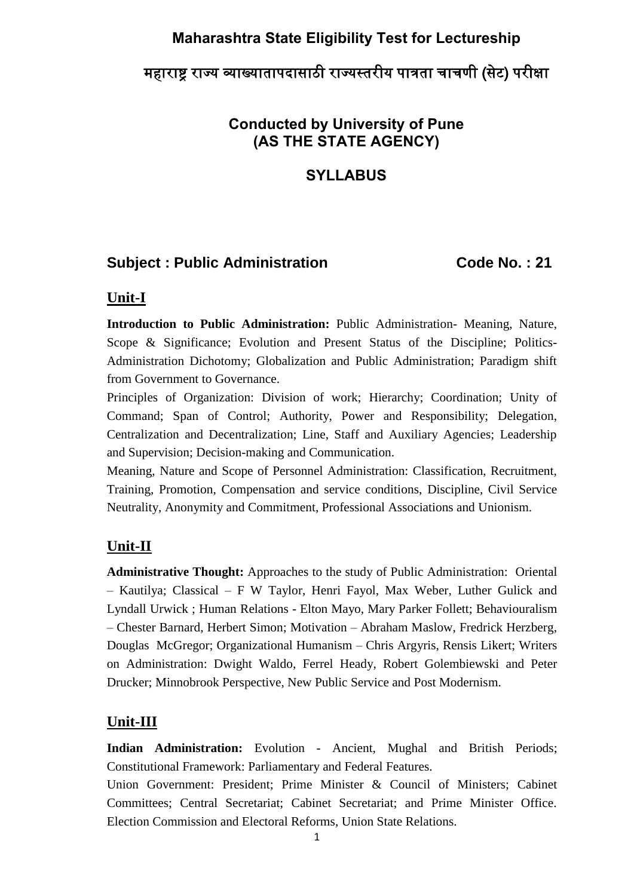## **Maharashtra State Eligibility Test for Lectureship**

# महाराष्ट्र राज्य व्याख्यातापदासाठी राज्यस्तरीय पात्रता चाचणी (सेट) परीक्षा

## **Conducted by University of Pune (AS THE STATE AGENCY)**

## **SYLLABUS**

## Subject : Public Administration Code No. : 21

#### **Unit-I**

**Introduction to Public Administration:** Public Administration- Meaning, Nature, Scope & Significance; Evolution and Present Status of the Discipline; Politics-Administration Dichotomy; Globalization and Public Administration; Paradigm shift from Government to Governance.

Principles of Organization: Division of work; Hierarchy; Coordination; Unity of Command; Span of Control; Authority, Power and Responsibility; Delegation, Centralization and Decentralization; Line, Staff and Auxiliary Agencies; Leadership and Supervision; Decision-making and Communication.

Meaning, Nature and Scope of Personnel Administration: Classification, Recruitment, Training, Promotion, Compensation and service conditions, Discipline, Civil Service Neutrality, Anonymity and Commitment, Professional Associations and Unionism.

## **Unit-II**

**Administrative Thought:** Approaches to the study of Public Administration: Oriental – Kautilya; Classical – F W Taylor, Henri Fayol, Max Weber, Luther Gulick and Lyndall Urwick ; Human Relations - Elton Mayo, Mary Parker Follett; Behaviouralism – Chester Barnard, Herbert Simon; Motivation – Abraham Maslow, Fredrick Herzberg, Douglas McGregor; Organizational Humanism – Chris Argyris, Rensis Likert; Writers on Administration: Dwight Waldo, Ferrel Heady, Robert Golembiewski and Peter Drucker; Minnobrook Perspective, New Public Service and Post Modernism.

#### **Unit-III**

**Indian Administration:** Evolution - Ancient, Mughal and British Periods; Constitutional Framework: Parliamentary and Federal Features.

Union Government: President; Prime Minister & Council of Ministers; Cabinet Committees; Central Secretariat; Cabinet Secretariat; and Prime Minister Office. Election Commission and Electoral Reforms, Union State Relations.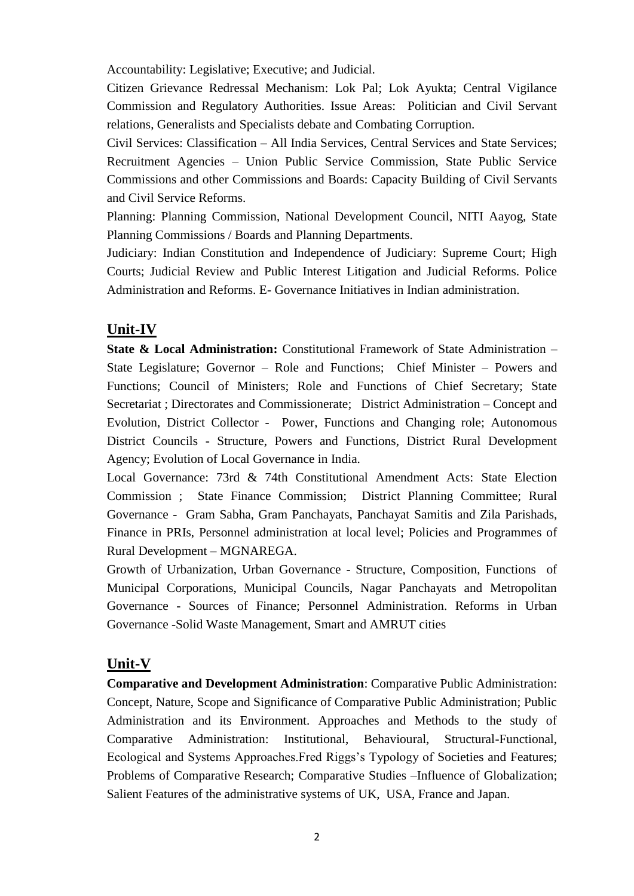Accountability: Legislative; Executive; and Judicial.

Citizen Grievance Redressal Mechanism: Lok Pal; Lok Ayukta; Central Vigilance Commission and Regulatory Authorities. Issue Areas: Politician and Civil Servant relations, Generalists and Specialists debate and Combating Corruption.

Civil Services: Classification – All India Services, Central Services and State Services; Recruitment Agencies – Union Public Service Commission, State Public Service Commissions and other Commissions and Boards: Capacity Building of Civil Servants and Civil Service Reforms.

Planning: Planning Commission, National Development Council, NITI Aayog, State Planning Commissions / Boards and Planning Departments.

Judiciary: Indian Constitution and Independence of Judiciary: Supreme Court; High Courts; Judicial Review and Public Interest Litigation and Judicial Reforms. Police Administration and Reforms. E- Governance Initiatives in Indian administration.

## **Unit-IV**

**State & Local Administration:** Constitutional Framework of State Administration – State Legislature; Governor – Role and Functions; Chief Minister – Powers and Functions; Council of Ministers; Role and Functions of Chief Secretary; State Secretariat ; Directorates and Commissionerate; District Administration – Concept and Evolution, District Collector - Power, Functions and Changing role; Autonomous District Councils - Structure, Powers and Functions, District Rural Development Agency; Evolution of Local Governance in India.

Local Governance: 73rd & 74th Constitutional Amendment Acts: State Election Commission ; State Finance Commission; District Planning Committee; Rural Governance - Gram Sabha, Gram Panchayats, Panchayat Samitis and Zila Parishads, Finance in PRIs, Personnel administration at local level; Policies and Programmes of Rural Development – MGNAREGA.

Growth of Urbanization, Urban Governance - Structure, Composition, Functions of Municipal Corporations, Municipal Councils, Nagar Panchayats and Metropolitan Governance - Sources of Finance; Personnel Administration. Reforms in Urban Governance -Solid Waste Management, Smart and AMRUT cities

## **Unit-V**

**Comparative and Development Administration**: Comparative Public Administration: Concept, Nature, Scope and Significance of Comparative Public Administration; Public Administration and its Environment. Approaches and Methods to the study of Comparative Administration: Institutional, Behavioural, Structural-Functional, Ecological and Systems Approaches.Fred Riggs's Typology of Societies and Features; Problems of Comparative Research; Comparative Studies –Influence of Globalization; Salient Features of the administrative systems of UK, USA, France and Japan.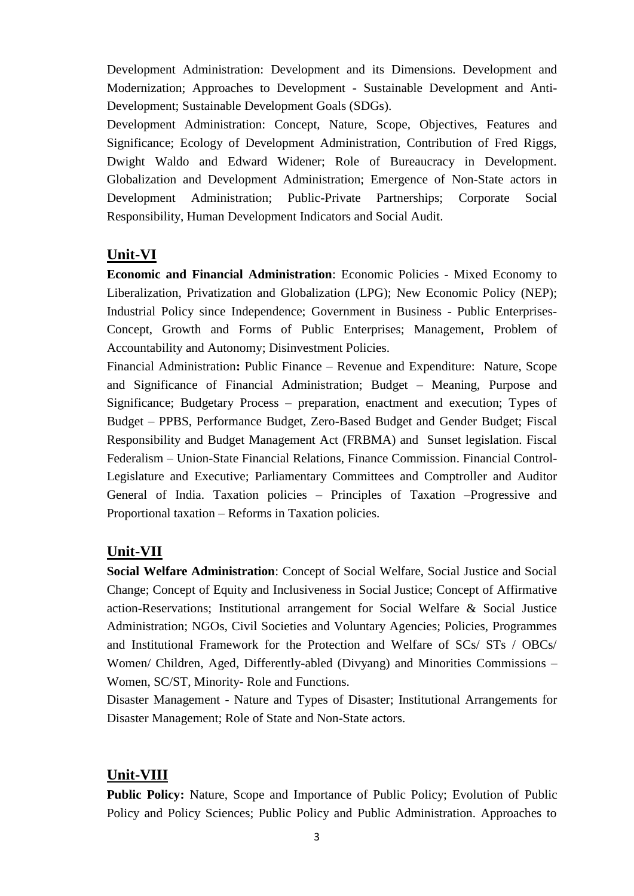Development Administration: Development and its Dimensions. Development and Modernization; Approaches to Development - Sustainable Development and Anti-Development; Sustainable Development Goals (SDGs).

Development Administration: Concept, Nature, Scope, Objectives, Features and Significance; Ecology of Development Administration, Contribution of Fred Riggs, Dwight Waldo and Edward Widener; Role of Bureaucracy in Development. Globalization and Development Administration; Emergence of Non-State actors in Development Administration; Public-Private Partnerships; Corporate Social Responsibility, Human Development Indicators and Social Audit.

#### **Unit-VI**

**Economic and Financial Administration**: Economic Policies - Mixed Economy to Liberalization, Privatization and Globalization (LPG); New Economic Policy (NEP); Industrial Policy since Independence; Government in Business - Public Enterprises-Concept, Growth and Forms of Public Enterprises; Management, Problem of Accountability and Autonomy; Disinvestment Policies.

Financial Administration**:** Public Finance – Revenue and Expenditure: Nature, Scope and Significance of Financial Administration; Budget – Meaning, Purpose and Significance; Budgetary Process – preparation, enactment and execution; Types of Budget – PPBS, Performance Budget, Zero-Based Budget and Gender Budget; Fiscal Responsibility and Budget Management Act (FRBMA) and Sunset legislation. Fiscal Federalism – Union-State Financial Relations, Finance Commission. Financial Control-Legislature and Executive; Parliamentary Committees and Comptroller and Auditor General of India. Taxation policies – Principles of Taxation –Progressive and Proportional taxation – Reforms in Taxation policies.

#### **Unit-VII**

**Social Welfare Administration**: Concept of Social Welfare, Social Justice and Social Change; Concept of Equity and Inclusiveness in Social Justice; Concept of Affirmative action-Reservations; Institutional arrangement for Social Welfare & Social Justice Administration; NGOs, Civil Societies and Voluntary Agencies; Policies, Programmes and Institutional Framework for the Protection and Welfare of SCs/ STs / OBCs/ Women/ Children, Aged, Differently-abled (Divyang) and Minorities Commissions – Women, SC/ST, Minority- Role and Functions.

Disaster Management **-** Nature and Types of Disaster; Institutional Arrangements for Disaster Management; Role of State and Non-State actors.

#### **Unit-VIII**

**Public Policy:** Nature, Scope and Importance of Public Policy; Evolution of Public Policy and Policy Sciences; Public Policy and Public Administration. Approaches to